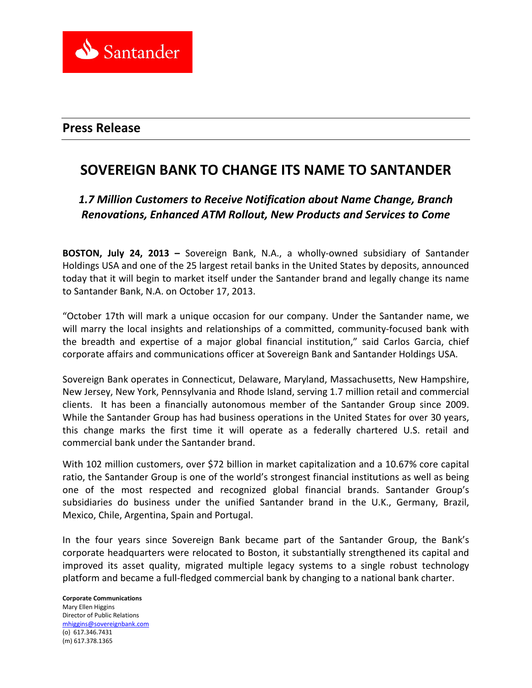

## **Press Release**

# **SOVEREIGN BANK TO CHANGE ITS NAME TO SANTANDER**

# *1.7 Million Customers to Receive Notification about Name Change, Branch Renovations, Enhanced ATM Rollout, New Products and Services to Come*

**BOSTON, July 24, 2013 –** Sovereign Bank, N.A., a wholly-owned subsidiary of Santander Holdings USA and one of the 25 largest retail banks in the United States by deposits, announced today that it will begin to market itself under the Santander brand and legally change its name to Santander Bank, N.A. on October 17, 2013.

"October 17th will mark a unique occasion for our company. Under the Santander name, we will marry the local insights and relationships of a committed, community-focused bank with the breadth and expertise of a major global financial institution," said Carlos Garcia, chief corporate affairs and communications officer at Sovereign Bank and Santander Holdings USA.

Sovereign Bank operates in Connecticut, Delaware, Maryland, Massachusetts, New Hampshire, New Jersey, New York, Pennsylvania and Rhode Island, serving 1.7 million retail and commercial clients. It has been a financially autonomous member of the Santander Group since 2009. While the Santander Group has had business operations in the United States for over 30 years, this change marks the first time it will operate as a federally chartered U.S. retail and commercial bank under the Santander brand.

With 102 million customers, over \$72 billion in market capitalization and a 10.67% core capital ratio, the Santander Group is one of the world's strongest financial institutions as well as being one of the most respected and recognized global financial brands. Santander Group's subsidiaries do business under the unified Santander brand in the U.K., Germany, Brazil, Mexico, Chile, Argentina, Spain and Portugal.

In the four years since Sovereign Bank became part of the Santander Group, the Bank's corporate headquarters were relocated to Boston, it substantially strengthened its capital and improved its asset quality, migrated multiple legacy systems to a single robust technology platform and became a full-fledged commercial bank by changing to a national bank charter.

**Corporate Communications** Mary Ellen Higgins Director of Public Relations [mhiggins@sovereignbank.com](mailto:mhiggins@sovereignbank.com) (o) 617.346.7431 (m) 617.378.1365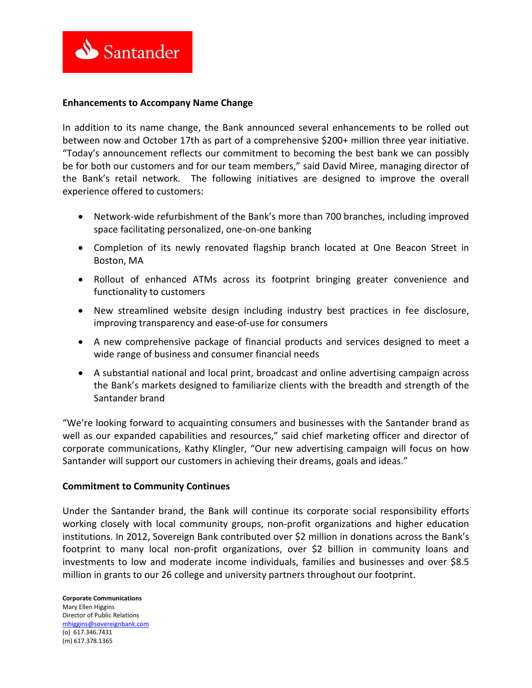

## **Enhancements to Accompany Name Change**

In addition to its name change, the Bank announced several enhancements to be rolled out between now and October 17th as part of a comprehensive \$200+ million three year initiative. "Today's announcement reflects our commitment to becoming the best bank we can possibly be for both our customers and for our team members," said David Miree, managing director of the Bank's retail network. The following initiatives are designed to improve the overall experience offered to customers:

- Network-wide refurbishment of the Bank's more than 700 branches, including improved space facilitating personalized, one-on-one banking
- Completion of its newly renovated flagship branch located at One Beacon Street in Boston, MA
- Rollout of enhanced ATMs across its footprint bringing greater convenience and functionality to customers
- New streamlined website design including industry best practices in fee disclosure, improving transparency and ease-of-use for consumers
- A new comprehensive package of financial products and services designed to meet a wide range of business and consumer financial needs
- A substantial national and local print, broadcast and online advertising campaign across the Bank's markets designed to familiarize clients with the breadth and strength of the Santander brand

"We're looking forward to acquainting consumers and businesses with the Santander brand as well as our expanded capabilities and resources," said chief marketing officer and director of corporate communications, Kathy Klingler, "Our new advertising campaign will focus on how Santander will support our customers in achieving their dreams, goals and ideas."

#### **Commitment to Community Continues**

Under the Santander brand, the Bank will continue its corporate social responsibility efforts working closely with local community groups, non-profit organizations and higher education institutions. In 2012, Sovereign Bank contributed over \$2 million in donations across the Bank's footprint to many local non-profit organizations, over \$2 billion in community loans and investments to low and moderate income individuals, families and businesses and over \$8.5 million in grants to our 26 college and university partners throughout our footprint.

**Corporate Communications** Mary Ellen Higgins Director of Public Relations [mhiggins@sovereignbank.com](mailto:mhiggins@sovereignbank.com) (o) 617.346.7431 (m) 617.378.1365